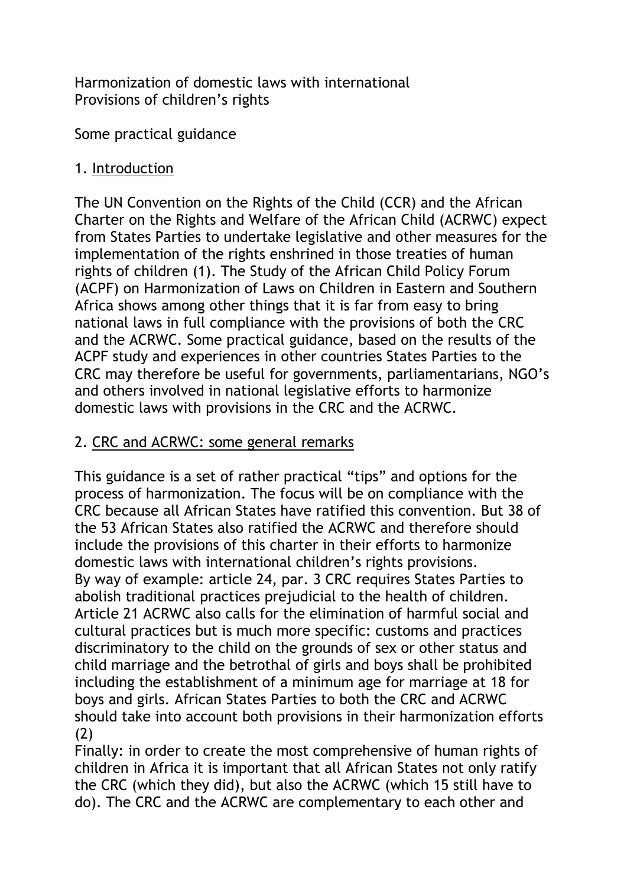Harmonization of domestic laws with international Provisions of children's rights

Some practical guidance

# 1. Introduction

The UN Convention on the Rights of the Child (CCR) and the African Charter on the Rights and Welfare of the African Child (ACRWC) expect from States Parties to undertake legislative and other measures for the implementation of the rights enshrined in those treaties of human rights of children (1). The Study of the African Child Policy Forum (ACPF) on Harmonization of Laws on Children in Eastern and Southern Africa shows among other things that it is far from easy to bring national laws in full compliance with the provisions of both the CRC and the ACRWC. Some practical guidance, based on the results of the ACPF study and experiences in other countries States Parties to the CRC may therefore be useful for governments, parliamentarians, NGO's and others involved in national legislative efforts to harmonize domestic laws with provisions in the CRC and the ACRWC.

# 2. CRC and ACRWC: some general remarks

This guidance is a set of rather practical "tips" and options for the process of harmonization. The focus will be on compliance with the CRC because all African States have ratified this convention. But 38 of the 53 African States also ratified the ACRWC and therefore should include the provisions of this charter in their efforts to harmonize domestic laws with international children's rights provisions. By way of example: article 24, par. 3 CRC requires States Parties to abolish traditional practices prejudicial to the health of children. Article 21 ACRWC also calls for the elimination of harmful social and cultural practices but is much more specific: customs and practices discriminatory to the child on the grounds of sex or other status and child marriage and the betrothal of girls and boys shall be prohibited including the establishment of a minimum age for marriage at 18 for boys and girls. African States Parties to both the CRC and ACRWC should take into account both provisions in their harmonization efforts (2)

Finally: in order to create the most comprehensive of human rights of children in Africa it is important that all African States not only ratify the CRC (which they did), but also the ACRWC (which 15 still have to do). The CRC and the ACRWC are complementary to each other and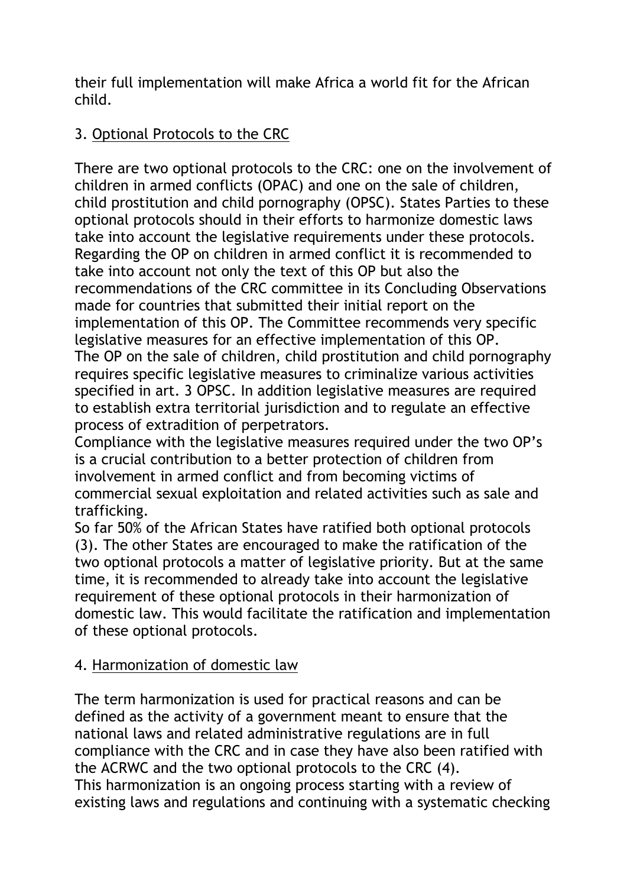their full implementation will make Africa a world fit for the African child.

# 3. Optional Protocols to the CRC

There are two optional protocols to the CRC: one on the involvement of children in armed conflicts (OPAC) and one on the sale of children, child prostitution and child pornography (OPSC). States Parties to these optional protocols should in their efforts to harmonize domestic laws take into account the legislative requirements under these protocols. Regarding the OP on children in armed conflict it is recommended to take into account not only the text of this OP but also the recommendations of the CRC committee in its Concluding Observations made for countries that submitted their initial report on the implementation of this OP. The Committee recommends very specific legislative measures for an effective implementation of this OP. The OP on the sale of children, child prostitution and child pornography requires specific legislative measures to criminalize various activities specified in art. 3 OPSC. In addition legislative measures are required to establish extra territorial jurisdiction and to regulate an effective process of extradition of perpetrators.

Compliance with the legislative measures required under the two OP's is a crucial contribution to a better protection of children from involvement in armed conflict and from becoming victims of commercial sexual exploitation and related activities such as sale and trafficking.

So far 50% of the African States have ratified both optional protocols (3). The other States are encouraged to make the ratification of the two optional protocols a matter of legislative priority. But at the same time, it is recommended to already take into account the legislative requirement of these optional protocols in their harmonization of domestic law. This would facilitate the ratification and implementation of these optional protocols.

# 4. Harmonization of domestic law

The term harmonization is used for practical reasons and can be defined as the activity of a government meant to ensure that the national laws and related administrative regulations are in full compliance with the CRC and in case they have also been ratified with the ACRWC and the two optional protocols to the CRC (4). This harmonization is an ongoing process starting with a review of existing laws and regulations and continuing with a systematic checking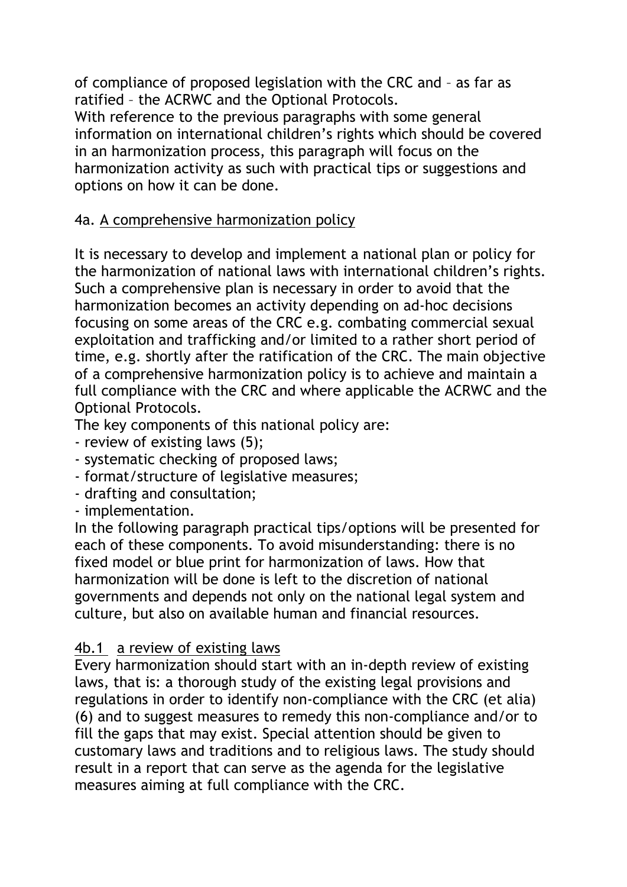of compliance of proposed legislation with the CRC and – as far as ratified – the ACRWC and the Optional Protocols.

With reference to the previous paragraphs with some general information on international children's rights which should be covered in an harmonization process, this paragraph will focus on the harmonization activity as such with practical tips or suggestions and options on how it can be done.

# 4a. A comprehensive harmonization policy

It is necessary to develop and implement a national plan or policy for the harmonization of national laws with international children's rights. Such a comprehensive plan is necessary in order to avoid that the harmonization becomes an activity depending on ad-hoc decisions focusing on some areas of the CRC e.g. combating commercial sexual exploitation and trafficking and/or limited to a rather short period of time, e.g. shortly after the ratification of the CRC. The main objective of a comprehensive harmonization policy is to achieve and maintain a full compliance with the CRC and where applicable the ACRWC and the Optional Protocols.

The key components of this national policy are:

- review of existing laws (5);
- systematic checking of proposed laws;
- format/structure of legislative measures;
- drafting and consultation;
- implementation.

In the following paragraph practical tips/options will be presented for each of these components. To avoid misunderstanding: there is no fixed model or blue print for harmonization of laws. How that harmonization will be done is left to the discretion of national governments and depends not only on the national legal system and culture, but also on available human and financial resources.

# 4b.1 a review of existing laws

Every harmonization should start with an in-depth review of existing laws, that is: a thorough study of the existing legal provisions and regulations in order to identify non-compliance with the CRC (et alia) (6) and to suggest measures to remedy this non-compliance and/or to fill the gaps that may exist. Special attention should be given to customary laws and traditions and to religious laws. The study should result in a report that can serve as the agenda for the legislative measures aiming at full compliance with the CRC.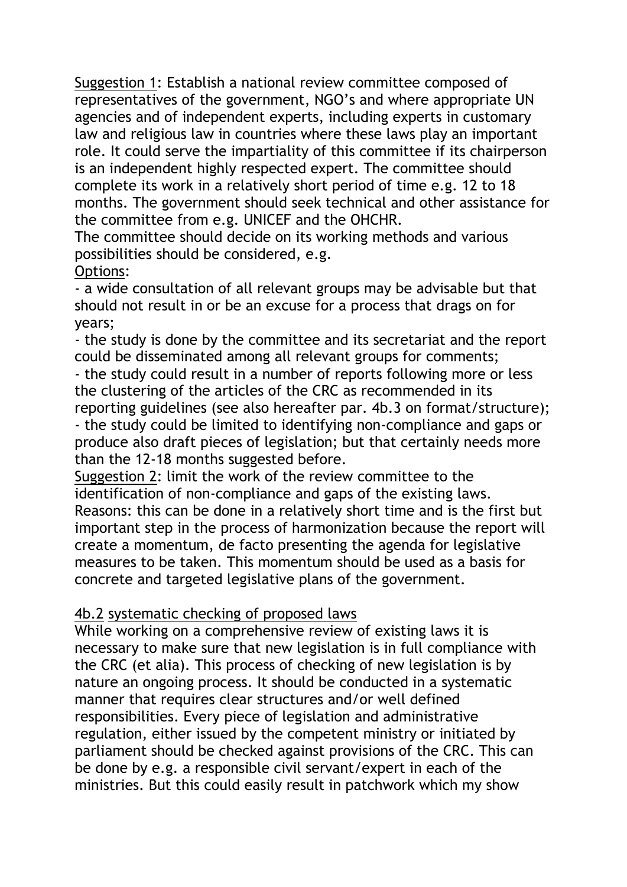Suggestion 1: Establish a national review committee composed of representatives of the government, NGO's and where appropriate UN agencies and of independent experts, including experts in customary law and religious law in countries where these laws play an important role. It could serve the impartiality of this committee if its chairperson is an independent highly respected expert. The committee should complete its work in a relatively short period of time e.g. 12 to 18 months. The government should seek technical and other assistance for the committee from e.g. UNICEF and the OHCHR.

The committee should decide on its working methods and various possibilities should be considered, e.g.

#### Options:

- a wide consultation of all relevant groups may be advisable but that should not result in or be an excuse for a process that drags on for years;

- the study is done by the committee and its secretariat and the report could be disseminated among all relevant groups for comments;

- the study could result in a number of reports following more or less the clustering of the articles of the CRC as recommended in its reporting guidelines (see also hereafter par. 4b.3 on format/structure); - the study could be limited to identifying non-compliance and gaps or produce also draft pieces of legislation; but that certainly needs more than the 12-18 months suggested before.

Suggestion 2: limit the work of the review committee to the identification of non-compliance and gaps of the existing laws. Reasons: this can be done in a relatively short time and is the first but important step in the process of harmonization because the report will create a momentum, de facto presenting the agenda for legislative measures to be taken. This momentum should be used as a basis for concrete and targeted legislative plans of the government.

# 4b.2 systematic checking of proposed laws

While working on a comprehensive review of existing laws it is necessary to make sure that new legislation is in full compliance with the CRC (et alia). This process of checking of new legislation is by nature an ongoing process. It should be conducted in a systematic manner that requires clear structures and/or well defined responsibilities. Every piece of legislation and administrative regulation, either issued by the competent ministry or initiated by parliament should be checked against provisions of the CRC. This can be done by e.g. a responsible civil servant/expert in each of the ministries. But this could easily result in patchwork which my show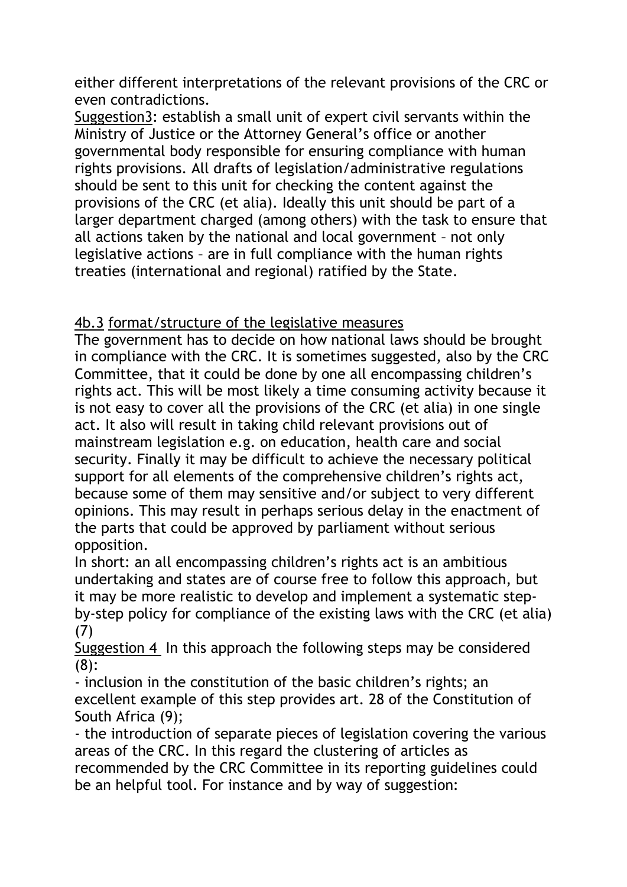either different interpretations of the relevant provisions of the CRC or even contradictions.

Suggestion3: establish a small unit of expert civil servants within the Ministry of Justice or the Attorney General's office or another governmental body responsible for ensuring compliance with human rights provisions. All drafts of legislation/administrative regulations should be sent to this unit for checking the content against the provisions of the CRC (et alia). Ideally this unit should be part of a larger department charged (among others) with the task to ensure that all actions taken by the national and local government – not only legislative actions – are in full compliance with the human rights treaties (international and regional) ratified by the State.

# 4b.3 format/structure of the legislative measures

The government has to decide on how national laws should be brought in compliance with the CRC. It is sometimes suggested, also by the CRC Committee, that it could be done by one all encompassing children's rights act. This will be most likely a time consuming activity because it is not easy to cover all the provisions of the CRC (et alia) in one single act. It also will result in taking child relevant provisions out of mainstream legislation e.g. on education, health care and social security. Finally it may be difficult to achieve the necessary political support for all elements of the comprehensive children's rights act, because some of them may sensitive and/or subject to very different opinions. This may result in perhaps serious delay in the enactment of the parts that could be approved by parliament without serious opposition.

In short: an all encompassing children's rights act is an ambitious undertaking and states are of course free to follow this approach, but it may be more realistic to develop and implement a systematic stepby-step policy for compliance of the existing laws with the CRC (et alia) (7)

Suggestion 4 In this approach the following steps may be considered (8):

- inclusion in the constitution of the basic children's rights; an excellent example of this step provides art. 28 of the Constitution of South Africa (9);

- the introduction of separate pieces of legislation covering the various areas of the CRC. In this regard the clustering of articles as recommended by the CRC Committee in its reporting guidelines could be an helpful tool. For instance and by way of suggestion: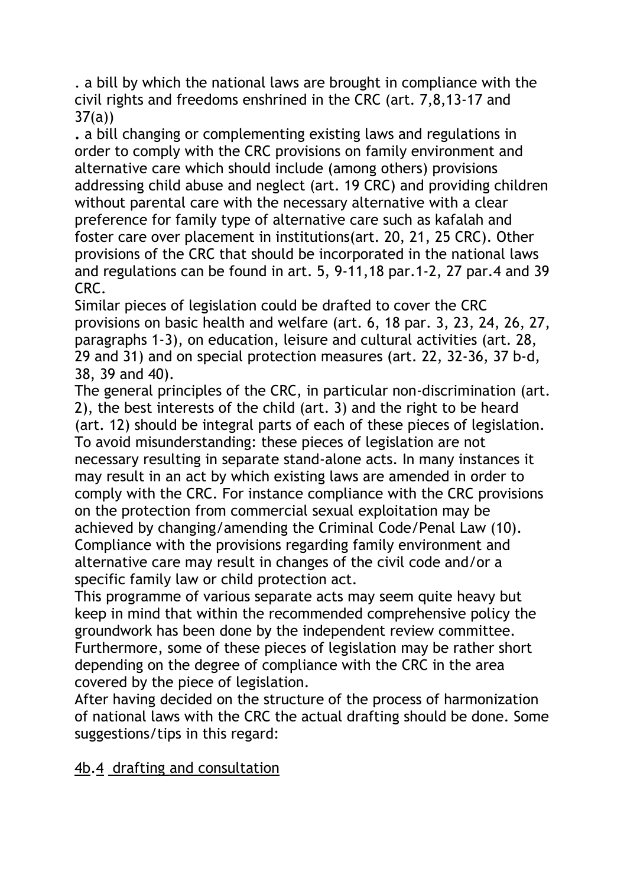. a bill by which the national laws are brought in compliance with the civil rights and freedoms enshrined in the CRC (art. 7,8,13-17 and  $37(a)$ 

**.** a bill changing or complementing existing laws and regulations in order to comply with the CRC provisions on family environment and alternative care which should include (among others) provisions addressing child abuse and neglect (art. 19 CRC) and providing children without parental care with the necessary alternative with a clear preference for family type of alternative care such as kafalah and foster care over placement in institutions(art. 20, 21, 25 CRC). Other provisions of the CRC that should be incorporated in the national laws and regulations can be found in art. 5, 9-11,18 par.1-2, 27 par.4 and 39 CRC.

Similar pieces of legislation could be drafted to cover the CRC provisions on basic health and welfare (art. 6, 18 par. 3, 23, 24, 26, 27, paragraphs 1-3), on education, leisure and cultural activities (art. 28, 29 and 31) and on special protection measures (art. 22, 32-36, 37 b-d, 38, 39 and 40).

The general principles of the CRC, in particular non-discrimination (art. 2), the best interests of the child (art. 3) and the right to be heard (art. 12) should be integral parts of each of these pieces of legislation. To avoid misunderstanding: these pieces of legislation are not necessary resulting in separate stand-alone acts. In many instances it may result in an act by which existing laws are amended in order to comply with the CRC. For instance compliance with the CRC provisions on the protection from commercial sexual exploitation may be achieved by changing/amending the Criminal Code/Penal Law (10). Compliance with the provisions regarding family environment and alternative care may result in changes of the civil code and/or a specific family law or child protection act.

This programme of various separate acts may seem quite heavy but keep in mind that within the recommended comprehensive policy the groundwork has been done by the independent review committee. Furthermore, some of these pieces of legislation may be rather short depending on the degree of compliance with the CRC in the area covered by the piece of legislation.

After having decided on the structure of the process of harmonization of national laws with the CRC the actual drafting should be done. Some suggestions/tips in this regard:

4b.4 drafting and consultation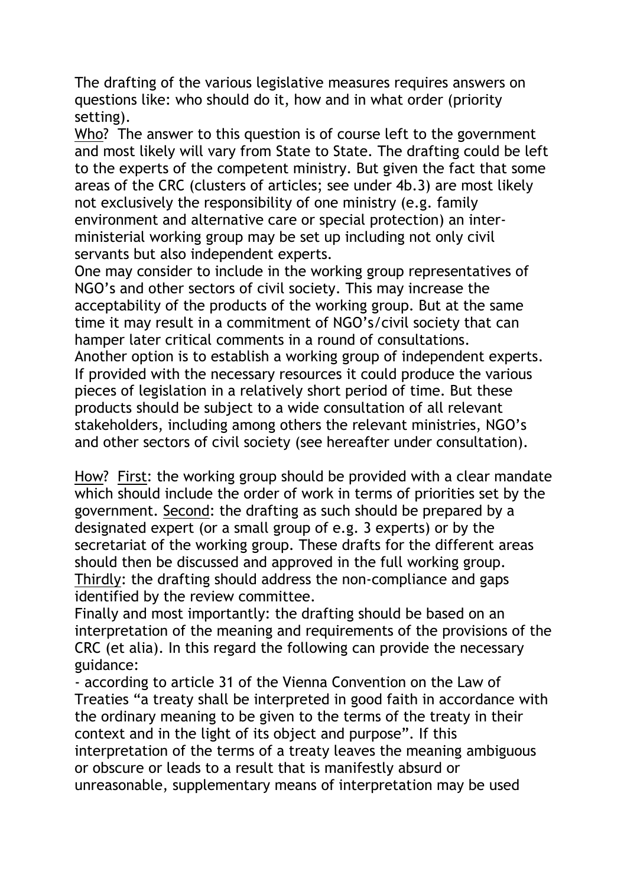The drafting of the various legislative measures requires answers on questions like: who should do it, how and in what order (priority setting).

Who? The answer to this question is of course left to the government and most likely will vary from State to State. The drafting could be left to the experts of the competent ministry. But given the fact that some areas of the CRC (clusters of articles; see under 4b.3) are most likely not exclusively the responsibility of one ministry (e.g. family environment and alternative care or special protection) an interministerial working group may be set up including not only civil servants but also independent experts.

One may consider to include in the working group representatives of NGO's and other sectors of civil society. This may increase the acceptability of the products of the working group. But at the same time it may result in a commitment of NGO's/civil society that can hamper later critical comments in a round of consultations. Another option is to establish a working group of independent experts. If provided with the necessary resources it could produce the various pieces of legislation in a relatively short period of time. But these products should be subject to a wide consultation of all relevant stakeholders, including among others the relevant ministries, NGO's and other sectors of civil society (see hereafter under consultation).

How? First: the working group should be provided with a clear mandate which should include the order of work in terms of priorities set by the government. Second: the drafting as such should be prepared by a designated expert (or a small group of e.g. 3 experts) or by the secretariat of the working group. These drafts for the different areas should then be discussed and approved in the full working group. Thirdly: the drafting should address the non-compliance and gaps identified by the review committee.

Finally and most importantly: the drafting should be based on an interpretation of the meaning and requirements of the provisions of the CRC (et alia). In this regard the following can provide the necessary guidance:

- according to article 31 of the Vienna Convention on the Law of Treaties "a treaty shall be interpreted in good faith in accordance with the ordinary meaning to be given to the terms of the treaty in their context and in the light of its object and purpose". If this interpretation of the terms of a treaty leaves the meaning ambiguous or obscure or leads to a result that is manifestly absurd or unreasonable, supplementary means of interpretation may be used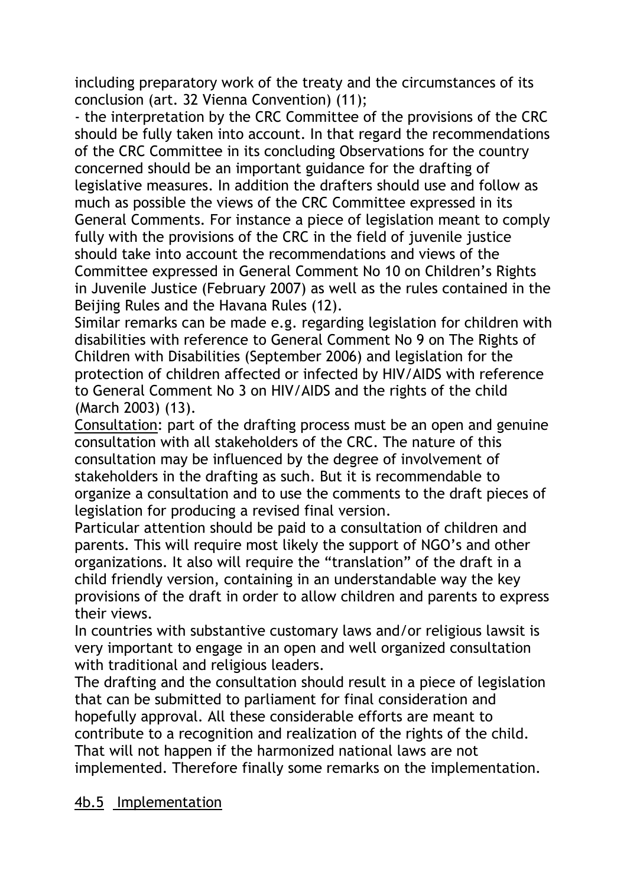including preparatory work of the treaty and the circumstances of its conclusion (art. 32 Vienna Convention) (11);

- the interpretation by the CRC Committee of the provisions of the CRC should be fully taken into account. In that regard the recommendations of the CRC Committee in its concluding Observations for the country concerned should be an important guidance for the drafting of legislative measures. In addition the drafters should use and follow as much as possible the views of the CRC Committee expressed in its General Comments. For instance a piece of legislation meant to comply fully with the provisions of the CRC in the field of juvenile justice should take into account the recommendations and views of the Committee expressed in General Comment No 10 on Children's Rights in Juvenile Justice (February 2007) as well as the rules contained in the Beijing Rules and the Havana Rules (12).

Similar remarks can be made e.g. regarding legislation for children with disabilities with reference to General Comment No 9 on The Rights of Children with Disabilities (September 2006) and legislation for the protection of children affected or infected by HIV/AIDS with reference to General Comment No 3 on HIV/AIDS and the rights of the child (March 2003) (13).

Consultation: part of the drafting process must be an open and genuine consultation with all stakeholders of the CRC. The nature of this consultation may be influenced by the degree of involvement of stakeholders in the drafting as such. But it is recommendable to organize a consultation and to use the comments to the draft pieces of legislation for producing a revised final version.

Particular attention should be paid to a consultation of children and parents. This will require most likely the support of NGO's and other organizations. It also will require the "translation" of the draft in a child friendly version, containing in an understandable way the key provisions of the draft in order to allow children and parents to express their views.

In countries with substantive customary laws and/or religious lawsit is very important to engage in an open and well organized consultation with traditional and religious leaders.

The drafting and the consultation should result in a piece of legislation that can be submitted to parliament for final consideration and hopefully approval. All these considerable efforts are meant to contribute to a recognition and realization of the rights of the child. That will not happen if the harmonized national laws are not implemented. Therefore finally some remarks on the implementation.

# 4b.5 Implementation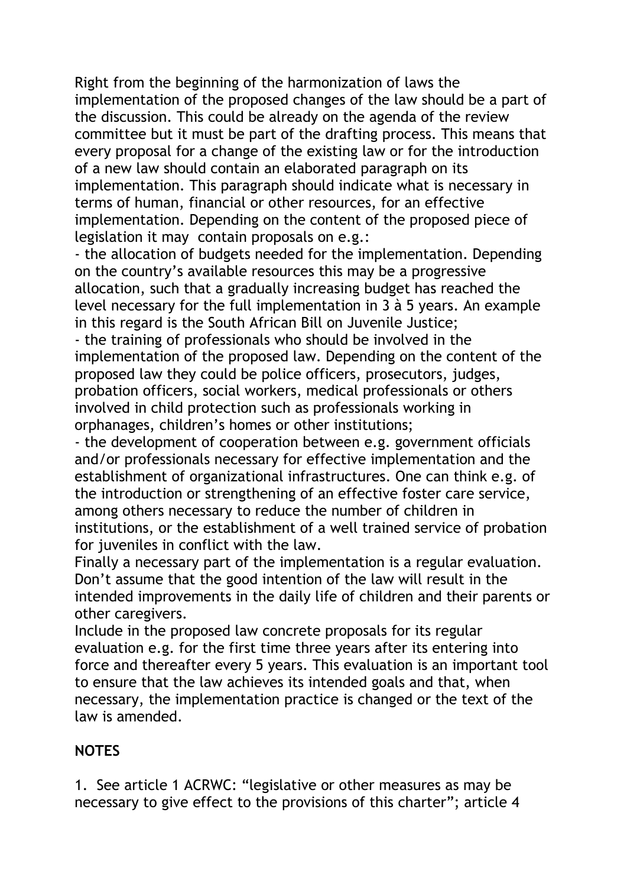Right from the beginning of the harmonization of laws the implementation of the proposed changes of the law should be a part of the discussion. This could be already on the agenda of the review committee but it must be part of the drafting process. This means that every proposal for a change of the existing law or for the introduction of a new law should contain an elaborated paragraph on its implementation. This paragraph should indicate what is necessary in terms of human, financial or other resources, for an effective implementation. Depending on the content of the proposed piece of legislation it may contain proposals on e.g.:

- the allocation of budgets needed for the implementation. Depending on the country's available resources this may be a progressive allocation, such that a gradually increasing budget has reached the level necessary for the full implementation in 3 à 5 years. An example in this regard is the South African Bill on Juvenile Justice;

- the training of professionals who should be involved in the implementation of the proposed law. Depending on the content of the proposed law they could be police officers, prosecutors, judges, probation officers, social workers, medical professionals or others involved in child protection such as professionals working in orphanages, children's homes or other institutions;

- the development of cooperation between e.g. government officials and/or professionals necessary for effective implementation and the establishment of organizational infrastructures. One can think e.g. of the introduction or strengthening of an effective foster care service, among others necessary to reduce the number of children in institutions, or the establishment of a well trained service of probation for juveniles in conflict with the law.

Finally a necessary part of the implementation is a regular evaluation. Don't assume that the good intention of the law will result in the intended improvements in the daily life of children and their parents or other caregivers.

Include in the proposed law concrete proposals for its regular evaluation e.g. for the first time three years after its entering into force and thereafter every 5 years. This evaluation is an important tool to ensure that the law achieves its intended goals and that, when necessary, the implementation practice is changed or the text of the law is amended.

#### **NOTES**

1. See article 1 ACRWC: "legislative or other measures as may be necessary to give effect to the provisions of this charter"; article 4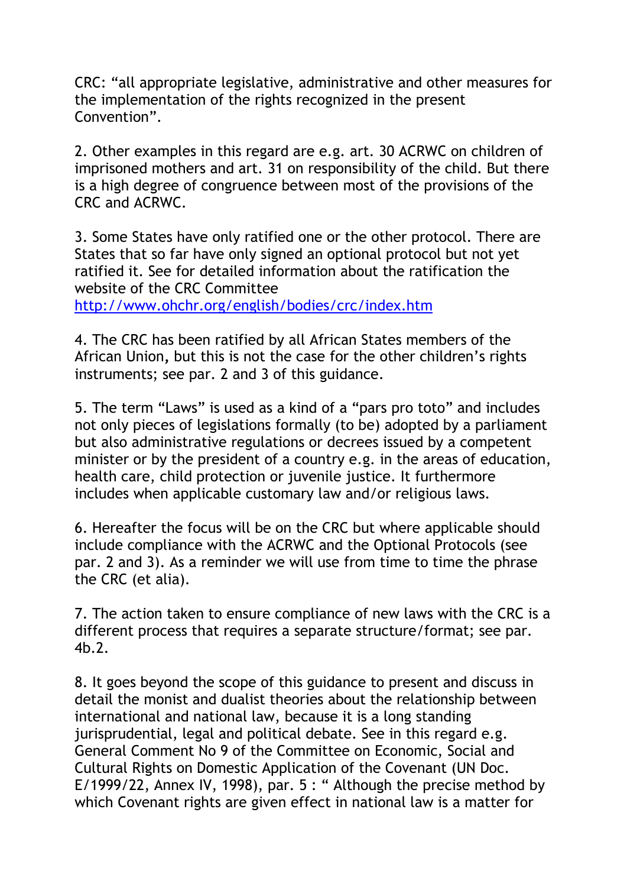CRC: "all appropriate legislative, administrative and other measures for the implementation of the rights recognized in the present Convention".

2. Other examples in this regard are e.g. art. 30 ACRWC on children of imprisoned mothers and art. 31 on responsibility of the child. But there is a high degree of congruence between most of the provisions of the CRC and ACRWC.

3. Some States have only ratified one or the other protocol. There are States that so far have only signed an optional protocol but not yet ratified it. See for detailed information about the ratification the website of the CRC Committee <http://www.ohchr.org/english/bodies/crc/index.htm>

4. The CRC has been ratified by all African States members of the African Union**,** but this is not the case for the other children's rights instruments; see par. 2 and 3 of this guidance.

5. The term "Laws" is used as a kind of a "pars pro toto" and includes not only pieces of legislations formally (to be) adopted by a parliament but also administrative regulations or decrees issued by a competent minister or by the president of a country e.g. in the areas of education, health care, child protection or juvenile justice. It furthermore includes when applicable customary law and/or religious laws.

6. Hereafter the focus will be on the CRC but where applicable should include compliance with the ACRWC and the Optional Protocols (see par. 2 and 3). As a reminder we will use from time to time the phrase the CRC (et alia).

7. The action taken to ensure compliance of new laws with the CRC is a different process that requires a separate structure/format; see par. 4b.2.

8. It goes beyond the scope of this guidance to present and discuss in detail the monist and dualist theories about the relationship between international and national law, because it is a long standing jurisprudential, legal and political debate. See in this regard e.g. General Comment No 9 of the Committee on Economic, Social and Cultural Rights on Domestic Application of the Covenant (UN Doc. E/1999/22, Annex IV, 1998), par. 5 : " Although the precise method by which Covenant rights are given effect in national law is a matter for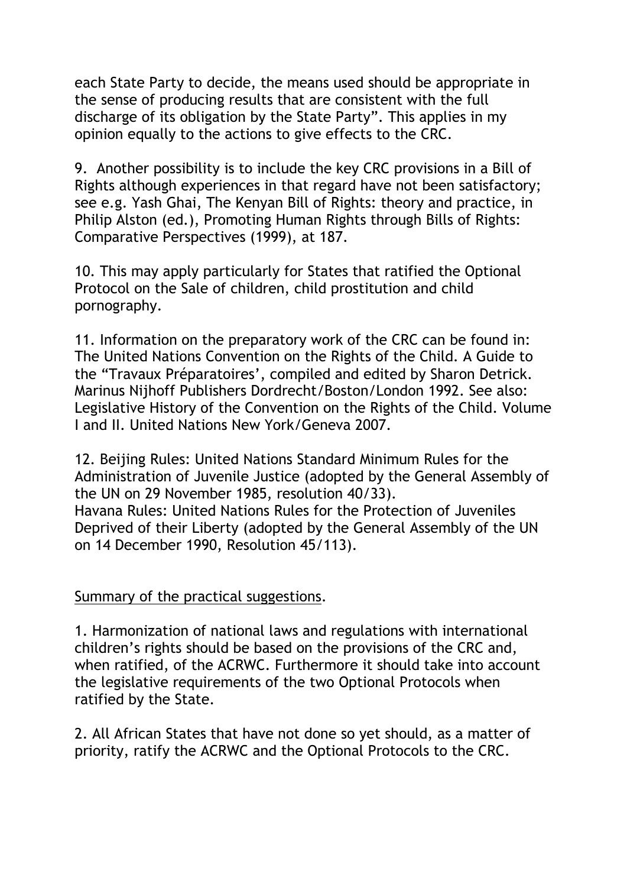each State Party to decide, the means used should be appropriate in the sense of producing results that are consistent with the full discharge of its obligation by the State Party". This applies in my opinion equally to the actions to give effects to the CRC.

9. Another possibility is to include the key CRC provisions in a Bill of Rights although experiences in that regard have not been satisfactory; see e.g. Yash Ghai, The Kenyan Bill of Rights: theory and practice, in Philip Alston (ed.), Promoting Human Rights through Bills of Rights: Comparative Perspectives (1999), at 187.

10. This may apply particularly for States that ratified the Optional Protocol on the Sale of children, child prostitution and child pornography.

11. Information on the preparatory work of the CRC can be found in: The United Nations Convention on the Rights of the Child. A Guide to the "Travaux Préparatoires', compiled and edited by Sharon Detrick. Marinus Nijhoff Publishers Dordrecht/Boston/London 1992. See also: Legislative History of the Convention on the Rights of the Child. Volume I and II. United Nations New York/Geneva 2007.

12. Beijing Rules: United Nations Standard Minimum Rules for the Administration of Juvenile Justice (adopted by the General Assembly of the UN on 29 November 1985, resolution 40/33). Havana Rules: United Nations Rules for the Protection of Juveniles Deprived of their Liberty (adopted by the General Assembly of the UN on 14 December 1990, Resolution 45/113).

#### Summary of the practical suggestions.

1. Harmonization of national laws and regulations with international children's rights should be based on the provisions of the CRC and, when ratified, of the ACRWC. Furthermore it should take into account the legislative requirements of the two Optional Protocols when ratified by the State.

2. All African States that have not done so yet should, as a matter of priority, ratify the ACRWC and the Optional Protocols to the CRC.